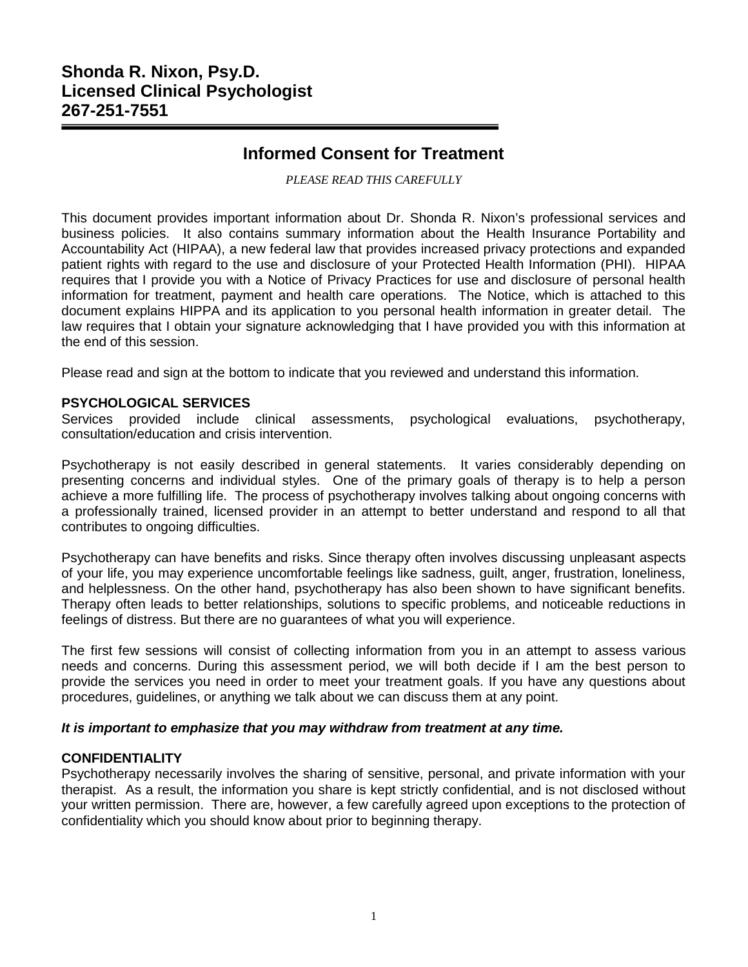# **Shonda R. Nixon, Psy.D. Licensed Clinical Psychologist 267-251-7551**

# **Informed Consent for Treatment**

*PLEASE READ THIS CAREFULLY*

This document provides important information about Dr. Shonda R. Nixon's professional services and business policies. It also contains summary information about the Health Insurance Portability and Accountability Act (HIPAA), a new federal law that provides increased privacy protections and expanded patient rights with regard to the use and disclosure of your Protected Health Information (PHI). HIPAA requires that I provide you with a Notice of Privacy Practices for use and disclosure of personal health information for treatment, payment and health care operations. The Notice, which is attached to this document explains HIPPA and its application to you personal health information in greater detail. The law requires that I obtain your signature acknowledging that I have provided you with this information at the end of this session.

Please read and sign at the bottom to indicate that you reviewed and understand this information.

## **PSYCHOLOGICAL SERVICES**

Services provided include clinical assessments, psychological evaluations, psychotherapy, consultation/education and crisis intervention.

Psychotherapy is not easily described in general statements. It varies considerably depending on presenting concerns and individual styles. One of the primary goals of therapy is to help a person achieve a more fulfilling life. The process of psychotherapy involves talking about ongoing concerns with a professionally trained, licensed provider in an attempt to better understand and respond to all that contributes to ongoing difficulties.

Psychotherapy can have benefits and risks. Since therapy often involves discussing unpleasant aspects of your life, you may experience uncomfortable feelings like sadness, guilt, anger, frustration, loneliness, and helplessness. On the other hand, psychotherapy has also been shown to have significant benefits. Therapy often leads to better relationships, solutions to specific problems, and noticeable reductions in feelings of distress. But there are no guarantees of what you will experience.

The first few sessions will consist of collecting information from you in an attempt to assess various needs and concerns. During this assessment period, we will both decide if I am the best person to provide the services you need in order to meet your treatment goals. If you have any questions about procedures, guidelines, or anything we talk about we can discuss them at any point.

#### *It is important to emphasize that you may withdraw from treatment at any time.*

# **CONFIDENTIALITY**

Psychotherapy necessarily involves the sharing of sensitive, personal, and private information with your therapist. As a result, the information you share is kept strictly confidential, and is not disclosed without your written permission. There are, however, a few carefully agreed upon exceptions to the protection of confidentiality which you should know about prior to beginning therapy.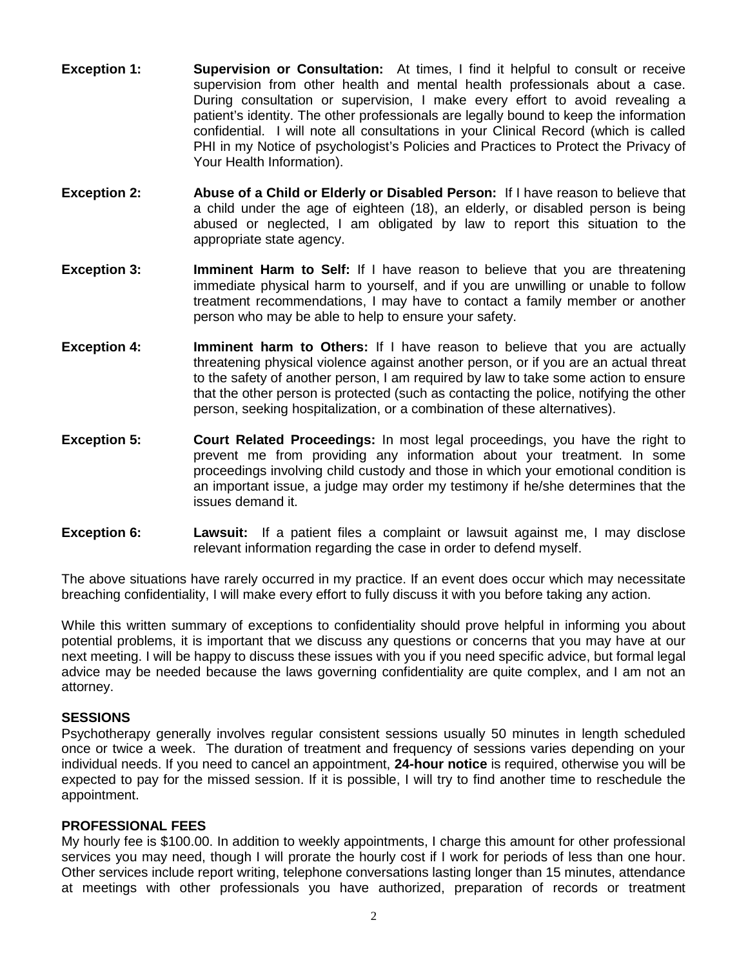- **Exception 1: Supervision or Consultation:** At times, I find it helpful to consult or receive supervision from other health and mental health professionals about a case. During consultation or supervision, I make every effort to avoid revealing a patient's identity. The other professionals are legally bound to keep the information confidential. I will note all consultations in your Clinical Record (which is called PHI in my Notice of psychologist's Policies and Practices to Protect the Privacy of Your Health Information).
- **Exception 2: Abuse of a Child or Elderly or Disabled Person:** If I have reason to believe that a child under the age of eighteen (18), an elderly, or disabled person is being abused or neglected, I am obligated by law to report this situation to the appropriate state agency.
- **Exception 3: <b>Imminent Harm to Self:** If I have reason to believe that you are threatening immediate physical harm to yourself, and if you are unwilling or unable to follow treatment recommendations, I may have to contact a family member or another person who may be able to help to ensure your safety.
- **Exception 4: Imminent harm to Others:** If I have reason to believe that you are actually threatening physical violence against another person, or if you are an actual threat to the safety of another person, I am required by law to take some action to ensure that the other person is protected (such as contacting the police, notifying the other person, seeking hospitalization, or a combination of these alternatives).
- **Exception 5: Court Related Proceedings:** In most legal proceedings, you have the right to prevent me from providing any information about your treatment. In some proceedings involving child custody and those in which your emotional condition is an important issue, a judge may order my testimony if he/she determines that the issues demand it.
- **Exception 6: Lawsuit:** If a patient files a complaint or lawsuit against me, I may disclose relevant information regarding the case in order to defend myself.

The above situations have rarely occurred in my practice. If an event does occur which may necessitate breaching confidentiality, I will make every effort to fully discuss it with you before taking any action.

While this written summary of exceptions to confidentiality should prove helpful in informing you about potential problems, it is important that we discuss any questions or concerns that you may have at our next meeting. I will be happy to discuss these issues with you if you need specific advice, but formal legal advice may be needed because the laws governing confidentiality are quite complex, and I am not an attorney.

#### **SESSIONS**

Psychotherapy generally involves regular consistent sessions usually 50 minutes in length scheduled once or twice a week. The duration of treatment and frequency of sessions varies depending on your individual needs. If you need to cancel an appointment, **24-hour notice** is required, otherwise you will be expected to pay for the missed session. If it is possible, I will try to find another time to reschedule the appointment.

#### **PROFESSIONAL FEES**

My hourly fee is \$100.00. In addition to weekly appointments, I charge this amount for other professional services you may need, though I will prorate the hourly cost if I work for periods of less than one hour. Other services include report writing, telephone conversations lasting longer than 15 minutes, attendance at meetings with other professionals you have authorized, preparation of records or treatment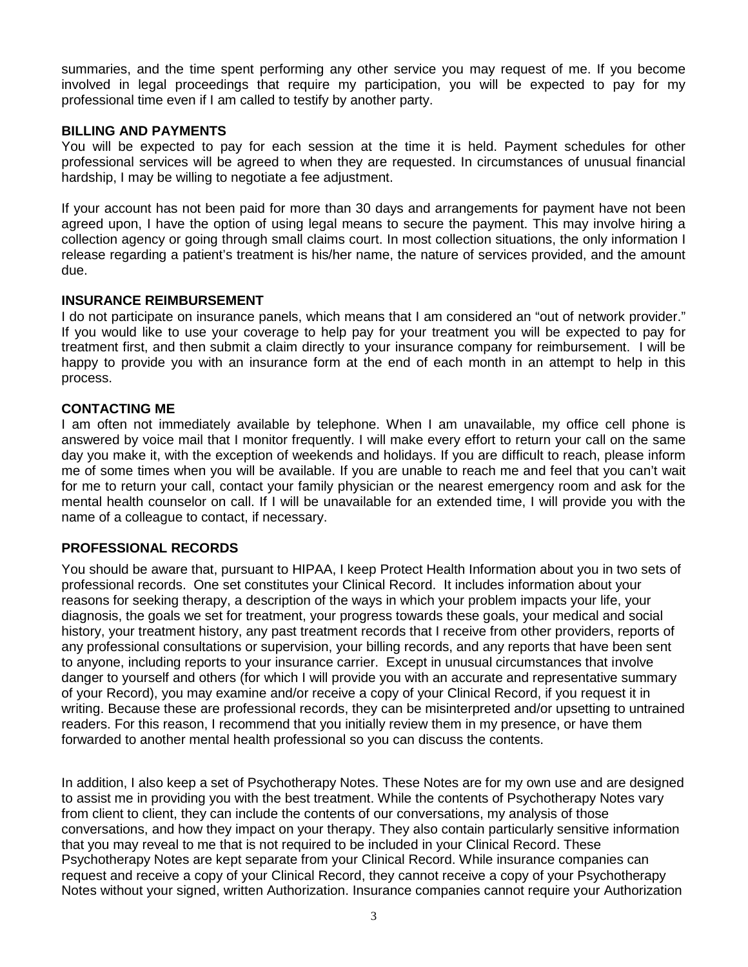summaries, and the time spent performing any other service you may request of me. If you become involved in legal proceedings that require my participation, you will be expected to pay for my professional time even if I am called to testify by another party.

# **BILLING AND PAYMENTS**

You will be expected to pay for each session at the time it is held. Payment schedules for other professional services will be agreed to when they are requested. In circumstances of unusual financial hardship, I may be willing to negotiate a fee adjustment.

If your account has not been paid for more than 30 days and arrangements for payment have not been agreed upon, I have the option of using legal means to secure the payment. This may involve hiring a collection agency or going through small claims court. In most collection situations, the only information I release regarding a patient's treatment is his/her name, the nature of services provided, and the amount due.

## **INSURANCE REIMBURSEMENT**

I do not participate on insurance panels, which means that I am considered an "out of network provider." If you would like to use your coverage to help pay for your treatment you will be expected to pay for treatment first, and then submit a claim directly to your insurance company for reimbursement. I will be happy to provide you with an insurance form at the end of each month in an attempt to help in this process.

## **CONTACTING ME**

I am often not immediately available by telephone. When I am unavailable, my office cell phone is answered by voice mail that I monitor frequently. I will make every effort to return your call on the same day you make it, with the exception of weekends and holidays. If you are difficult to reach, please inform me of some times when you will be available. If you are unable to reach me and feel that you can't wait for me to return your call, contact your family physician or the nearest emergency room and ask for the mental health counselor on call. If I will be unavailable for an extended time, I will provide you with the name of a colleague to contact, if necessary.

# **PROFESSIONAL RECORDS**

You should be aware that, pursuant to HIPAA, I keep Protect Health Information about you in two sets of professional records. One set constitutes your Clinical Record. It includes information about your reasons for seeking therapy, a description of the ways in which your problem impacts your life, your diagnosis, the goals we set for treatment, your progress towards these goals, your medical and social history, your treatment history, any past treatment records that I receive from other providers, reports of any professional consultations or supervision, your billing records, and any reports that have been sent to anyone, including reports to your insurance carrier. Except in unusual circumstances that involve danger to yourself and others (for which I will provide you with an accurate and representative summary of your Record), you may examine and/or receive a copy of your Clinical Record, if you request it in writing. Because these are professional records, they can be misinterpreted and/or upsetting to untrained readers. For this reason, I recommend that you initially review them in my presence, or have them forwarded to another mental health professional so you can discuss the contents.

In addition, I also keep a set of Psychotherapy Notes. These Notes are for my own use and are designed to assist me in providing you with the best treatment. While the contents of Psychotherapy Notes vary from client to client, they can include the contents of our conversations, my analysis of those conversations, and how they impact on your therapy. They also contain particularly sensitive information that you may reveal to me that is not required to be included in your Clinical Record. These Psychotherapy Notes are kept separate from your Clinical Record. While insurance companies can request and receive a copy of your Clinical Record, they cannot receive a copy of your Psychotherapy Notes without your signed, written Authorization. Insurance companies cannot require your Authorization